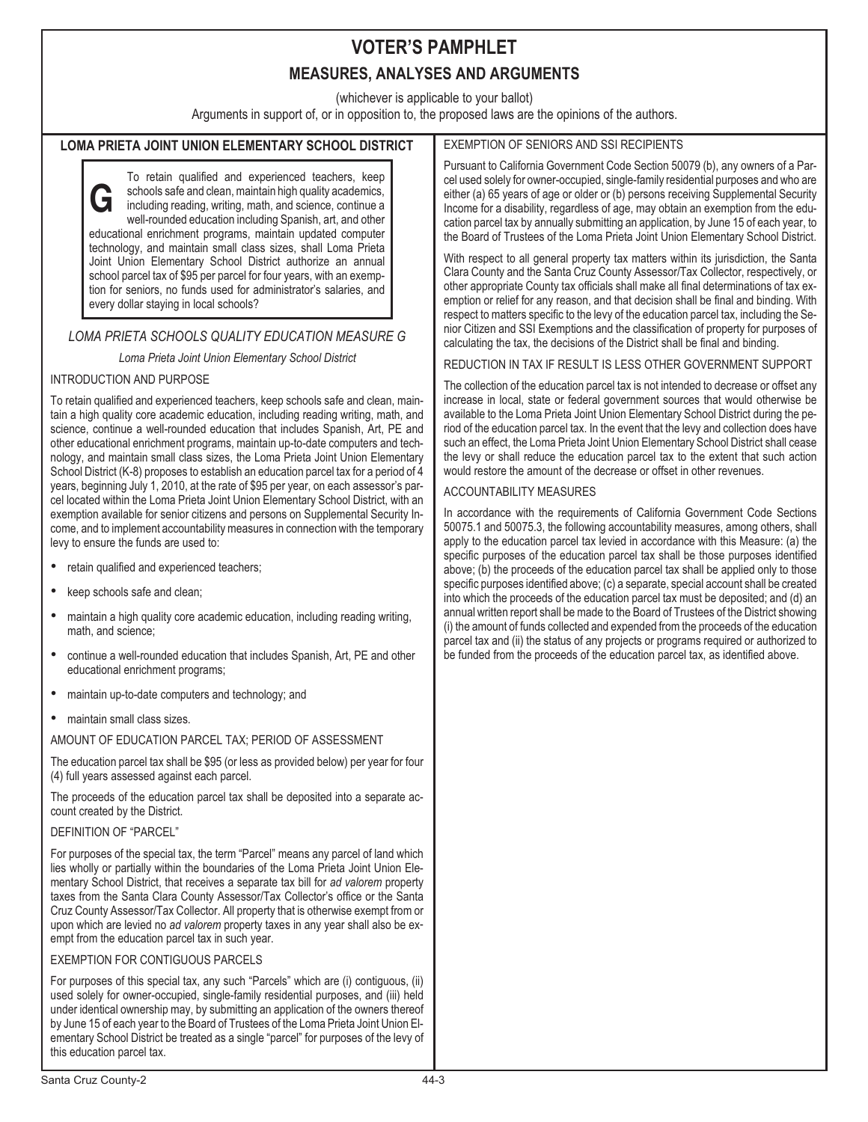# **VOTER'S PAMPHLET**

## **MEASURES, ANALYSES AND ARGUMENTS**

(whichever is applicable to your ballot)

Arguments in support of, or in opposition to, the proposed laws are the opinions of the authors.

### **LOMA PRIETA JOINT UNION ELEMENTARY SCHOOL DISTRICT**

**G** To retain qualified and experienced teachers, keep schools safe and clean, maintain high quality academics, including reading, writing, math, and science, continue a well-rounded education including Spanish, art, and other educational enrichment programs, maintain updated computer technology, and maintain small class sizes, shall Loma Prieta Joint Union Elementary School District authorize an annual school parcel tax of \$95 per parcel for four years, with an exemption for seniors, no funds used for administrator's salaries, and every dollar staying in local schools?

### *LOMA PRIETA SCHOOLS QUALITY EDUCATION MEASURE G*

*Loma Prieta Joint Union Elementary School District*

#### INTRODUCTION AND PURPOSE

To retain qualified and experienced teachers, keep schools safe and clean, maintain a high quality core academic education, including reading writing, math, and science, continue a well-rounded education that includes Spanish, Art, PE and other educational enrichment programs, maintain up-to-date computers and technology, and maintain small class sizes, the Loma Prieta Joint Union Elementary School District (K-8) proposes to establish an education parcel tax for a period of 4 years, beginning July 1, 2010, at the rate of \$95 per year, on each assessor's parcel located within the Loma Prieta Joint Union Elementary School District, with an exemption available for senior citizens and persons on Supplemental Security Income, and to implement accountability measures in connection with the temporary levy to ensure the funds are used to: •

- retain qualified and experienced teachers; •
- keep schools safe and clean; •
- maintain a high quality core academic education, including reading writing, math, and science;
- continue a well-rounded education that includes Spanish, Art, PE and other educational enrichment programs;
- maintain up-to-date computers and technology; and •
- maintain small class sizes.

#### AMOUNT OF EDUCATION PARCEL TAX; PERIOD OF ASSESSMENT

The education parcel tax shall be \$95 (or less as provided below) per year for four (4) full years assessed against each parcel.

The proceeds of the education parcel tax shall be deposited into a separate account created by the District.

#### DEFINITION OF "PARCEL"

For purposes of the special tax, the term "Parcel" means any parcel of land which lies wholly or partially within the boundaries of the Loma Prieta Joint Union Elementary School District, that receives a separate tax bill for *ad valorem* property taxes from the Santa Clara County Assessor/Tax Collector's office or the Santa Cruz County Assessor/Tax Collector. All property that is otherwise exempt from or upon which are levied no *ad valorem* property taxes in any year shall also be exempt from the education parcel tax in such year.

#### EXEMPTION FOR CONTIGUOUS PARCELS

For purposes of this special tax, any such "Parcels" which are (i) contiguous, (ii) used solely for owner-occupied, single-family residential purposes, and (iii) held under identical ownership may, by submitting an application of the owners thereof by June 15 of each year to the Board of Trustees of the Loma Prieta Joint Union Elementary School District be treated as a single "parcel" for purposes of the levy of this education parcel tax.

### EXEMPTION OF SENIORS AND SSI RECIPIENTS

Pursuant to California Government Code Section 50079 (b), any owners of a Parcel used solely for owner-occupied, single-family residential purposes and who are either (a) 65 years of age or older or (b) persons receiving Supplemental Security Income for a disability, regardless of age, may obtain an exemption from the education parcel tax by annually submitting an application, by June 15 of each year, to the Board of Trustees of the Loma Prieta Joint Union Elementary School District.

With respect to all general property tax matters within its jurisdiction, the Santa Clara County and the Santa Cruz County Assessor/Tax Collector, respectively, or other appropriate County tax officials shall make all final determinations of tax exemption or relief for any reason, and that decision shall be final and binding. With respect to matters specific to the levy of the education parcel tax, including the Senior Citizen and SSI Exemptions and the classification of property for purposes of calculating the tax, the decisions of the District shall be final and binding.

#### REDUCTION IN TAX IF RESULT IS LESS OTHER GOVERNMENT SUPPORT

The collection of the education parcel tax is not intended to decrease or offset any increase in local, state or federal government sources that would otherwise be available to the Loma Prieta Joint Union Elementary School District during the period of the education parcel tax. In the event that the levy and collection does have such an effect, the Loma Prieta Joint Union Elementary School District shall cease the levy or shall reduce the education parcel tax to the extent that such action would restore the amount of the decrease or offset in other revenues.

#### ACCOUNTABILITY MEASURES

In accordance with the requirements of California Government Code Sections 50075.1 and 50075.3, the following accountability measures, among others, shall apply to the education parcel tax levied in accordance with this Measure: (a) the specific purposes of the education parcel tax shall be those purposes identified above; (b) the proceeds of the education parcel tax shall be applied only to those specific purposes identified above; (c) a separate, special account shall be created into which the proceeds of the education parcel tax must be deposited; and (d) an annual written report shall be made to the Board of Trustees of the District showing (i) the amount of funds collected and expended from the proceeds of the education parcel tax and (ii) the status of any projects or programs required or authorized to be funded from the proceeds of the education parcel tax, as identified above.